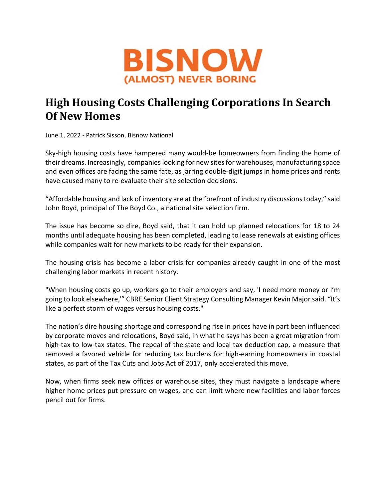

## High Housing Costs Challenging Corporations In Search Of New Homes

June 1, 2022 - Patrick Sisson, Bisnow National

Sky-high housing costs have hampered many would-be homeowners from finding the home of their dreams. Increasingly, companies looking for new sites for warehouses, manufacturing space and even offices are facing the same fate, as jarring double-digit jumps in home prices and rents have caused many to re-evaluate their site selection decisions.

"Affordable housing and lack of inventory are at the forefront of industry discussions today," said John Boyd, principal of The Boyd Co., a national site selection firm.

The issue has become so dire, Boyd said, that it can hold up planned relocations for 18 to 24 months until adequate housing has been completed, leading to lease renewals at existing offices while companies wait for new markets to be ready for their expansion.

The housing crisis has become a labor crisis for companies already caught in one of the most challenging labor markets in recent history.

"When housing costs go up, workers go to their employers and say, 'I need more money or I'm going to look elsewhere,'" CBRE Senior Client Strategy Consulting Manager Kevin Major said. "It's like a perfect storm of wages versus housing costs."

The nation's dire housing shortage and corresponding rise in prices have in part been influenced by corporate moves and relocations, Boyd said, in what he says has been a great migration from high-tax to low-tax states. The repeal of the state and local tax deduction cap, a measure that removed a favored vehicle for reducing tax burdens for high-earning homeowners in coastal states, as part of the Tax Cuts and Jobs Act of 2017, only accelerated this move.

Now, when firms seek new offices or warehouse sites, they must navigate a landscape where higher home prices put pressure on wages, and can limit where new facilities and labor forces pencil out for firms.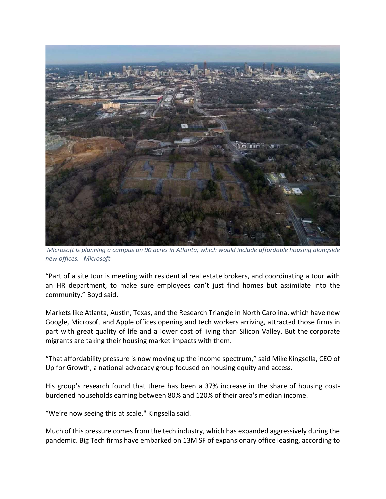

 Microsoft is planning a campus on 90 acres in Atlanta, which would include affordable housing alongside new offices. Microsoft

"Part of a site tour is meeting with residential real estate brokers, and coordinating a tour with an HR department, to make sure employees can't just find homes but assimilate into the community," Boyd said.

Markets like Atlanta, Austin, Texas, and the Research Triangle in North Carolina, which have new Google, Microsoft and Apple offices opening and tech workers arriving, attracted those firms in part with great quality of life and a lower cost of living than Silicon Valley. But the corporate migrants are taking their housing market impacts with them.

"That affordability pressure is now moving up the income spectrum," said Mike Kingsella, CEO of Up for Growth, a national advocacy group focused on housing equity and access.

His group's research found that there has been a 37% increase in the share of housing costburdened households earning between 80% and 120% of their area's median income.

"We're now seeing this at scale," Kingsella said.

Much of this pressure comes from the tech industry, which has expanded aggressively during the pandemic. Big Tech firms have embarked on 13M SF of expansionary office leasing, according to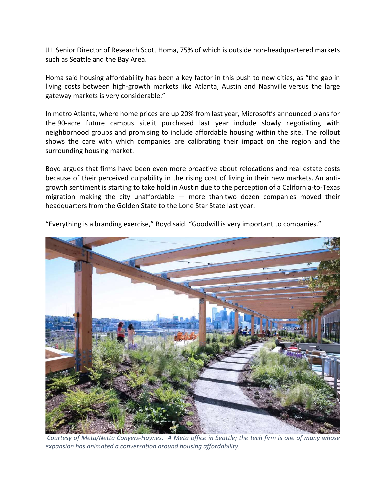JLL Senior Director of Research Scott Homa, 75% of which is outside non-headquartered markets such as Seattle and the Bay Area.

Homa said housing affordability has been a key factor in this push to new cities, as "the gap in living costs between high-growth markets like Atlanta, Austin and Nashville versus the large gateway markets is very considerable."

In metro Atlanta, where home prices are up 20% from last year, Microsoft's announced plans for the 90-acre future campus site it purchased last year include slowly negotiating with neighborhood groups and promising to include affordable housing within the site. The rollout shows the care with which companies are calibrating their impact on the region and the surrounding housing market.

Boyd argues that firms have been even more proactive about relocations and real estate costs because of their perceived culpability in the rising cost of living in their new markets. An antigrowth sentiment is starting to take hold in Austin due to the perception of a California-to-Texas migration making the city unaffordable  $-$  more than two dozen companies moved their headquarters from the Golden State to the Lone Star State last year.



"Everything is a branding exercise," Boyd said. "Goodwill is very important to companies."

 Courtesy of Meta/Netta Conyers-Haynes. A Meta office in Seattle; the tech firm is one of many whose expansion has animated a conversation around housing affordability.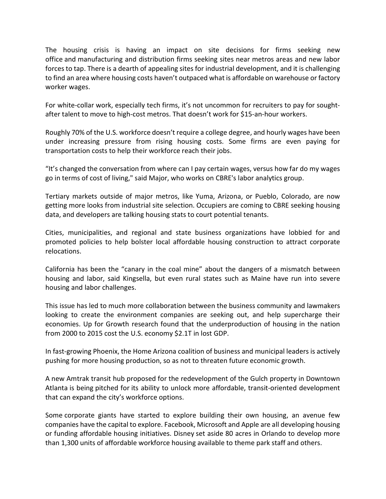The housing crisis is having an impact on site decisions for firms seeking new office and manufacturing and distribution firms seeking sites near metros areas and new labor forces to tap. There is a dearth of appealing sites for industrial development, and it is challenging to find an area where housing costs haven't outpaced what is affordable on warehouse or factory worker wages.

For white-collar work, especially tech firms, it's not uncommon for recruiters to pay for soughtafter talent to move to high-cost metros. That doesn't work for \$15-an-hour workers.

Roughly 70% of the U.S. workforce doesn't require a college degree, and hourly wages have been under increasing pressure from rising housing costs. Some firms are even paying for transportation costs to help their workforce reach their jobs.

"It's changed the conversation from where can I pay certain wages, versus how far do my wages go in terms of cost of living," said Major, who works on CBRE's labor analytics group.

Tertiary markets outside of major metros, like Yuma, Arizona, or Pueblo, Colorado, are now getting more looks from industrial site selection. Occupiers are coming to CBRE seeking housing data, and developers are talking housing stats to court potential tenants.

Cities, municipalities, and regional and state business organizations have lobbied for and promoted policies to help bolster local affordable housing construction to attract corporate relocations.

California has been the "canary in the coal mine" about the dangers of a mismatch between housing and labor, said Kingsella, but even rural states such as Maine have run into severe housing and labor challenges.

This issue has led to much more collaboration between the business community and lawmakers looking to create the environment companies are seeking out, and help supercharge their economies. Up for Growth research found that the underproduction of housing in the nation from 2000 to 2015 cost the U.S. economy \$2.1T in lost GDP.

In fast-growing Phoenix, the Home Arizona coalition of business and municipal leaders is actively pushing for more housing production, so as not to threaten future economic growth.

A new Amtrak transit hub proposed for the redevelopment of the Gulch property in Downtown Atlanta is being pitched for its ability to unlock more affordable, transit-oriented development that can expand the city's workforce options.

Some corporate giants have started to explore building their own housing, an avenue few companies have the capital to explore. Facebook, Microsoft and Apple are all developing housing or funding affordable housing initiatives. Disney set aside 80 acres in Orlando to develop more than 1,300 units of affordable workforce housing available to theme park staff and others.